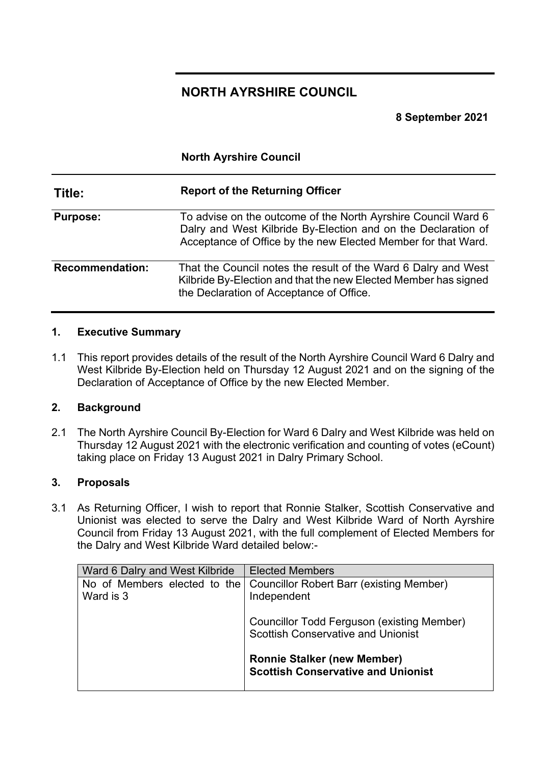# **NORTH AYRSHIRE COUNCIL**

**North Ayrshire Council**

**8 September 2021**

| Title:                 | <b>Report of the Returning Officer</b>                                                                                                                                                          |
|------------------------|-------------------------------------------------------------------------------------------------------------------------------------------------------------------------------------------------|
| <b>Purpose:</b>        | To advise on the outcome of the North Ayrshire Council Ward 6<br>Dalry and West Kilbride By-Election and on the Declaration of<br>Acceptance of Office by the new Elected Member for that Ward. |
| <b>Recommendation:</b> | That the Council notes the result of the Ward 6 Dalry and West<br>Kilbride By-Election and that the new Elected Member has signed<br>the Declaration of Acceptance of Office.                   |

#### **1. Executive Summary**

1.1 This report provides details of the result of the North Ayrshire Council Ward 6 Dalry and West Kilbride By-Election held on Thursday 12 August 2021 and on the signing of the Declaration of Acceptance of Office by the new Elected Member.

#### **2. Background**

2.1 The North Ayrshire Council By-Election for Ward 6 Dalry and West Kilbride was held on Thursday 12 August 2021 with the electronic verification and counting of votes (eCount) taking place on Friday 13 August 2021 in Dalry Primary School.

#### **3. Proposals**

3.1 As Returning Officer, I wish to report that Ronnie Stalker, Scottish Conservative and Unionist was elected to serve the Dalry and West Kilbride Ward of North Ayrshire Council from Friday 13 August 2021, with the full complement of Elected Members for the Dalry and West Kilbride Ward detailed below:-

| Ward 6 Dalry and West Kilbride            | <b>Elected Members</b>                                                                  |
|-------------------------------------------|-----------------------------------------------------------------------------------------|
| No of Members elected to the<br>Ward is 3 | <b>Councillor Robert Barr (existing Member)</b><br>Independent                          |
|                                           | Councillor Todd Ferguson (existing Member)<br><b>Scottish Conservative and Unionist</b> |
|                                           | <b>Ronnie Stalker (new Member)</b><br><b>Scottish Conservative and Unionist</b>         |